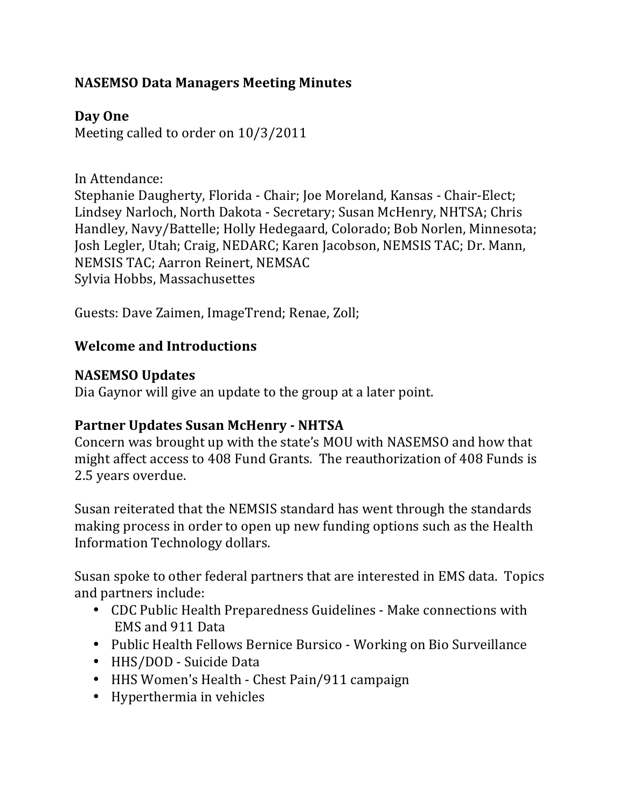## **NASEMSO Data Managers Meeting Minutes**

**Day One**

Meeting called to order on  $10/3/2011$ 

In Attendance:

Stephanie Daugherty, Florida - Chair; Joe Moreland, Kansas - Chair-Elect; Lindsey Narloch, North Dakota - Secretary; Susan McHenry, NHTSA; Chris Handley, Navy/Battelle; Holly Hedegaard, Colorado; Bob Norlen, Minnesota; Josh Legler, Utah; Craig, NEDARC; Karen Jacobson, NEMSIS TAC; Dr. Mann, NEMSIS TAC; Aarron Reinert, NEMSAC Sylvia Hobbs, Massachusettes

Guests: Dave Zaimen, ImageTrend; Renae, Zoll;

### **Welcome and Introductions**

### **NASEMSO Updates**

Dia Gaynor will give an update to the group at a later point.

### **Partner Updates Susan McHenry - NHTSA**

Concern was brought up with the state's MOU with NASEMSO and how that might affect access to 408 Fund Grants. The reauthorization of 408 Funds is 2.5 years overdue. 

Susan reiterated that the NEMSIS standard has went through the standards making process in order to open up new funding options such as the Health Information Technology dollars.

Susan spoke to other federal partners that are interested in EMS data. Topics and partners include:

- CDC Public Health Preparedness Guidelines Make connections with EMS and 911 Data
- Public Health Fellows Bernice Bursico Working on Bio Surveillance
- HHS/DOD Suicide Data
- HHS Women's Health Chest Pain/911 campaign
- Hyperthermia in vehicles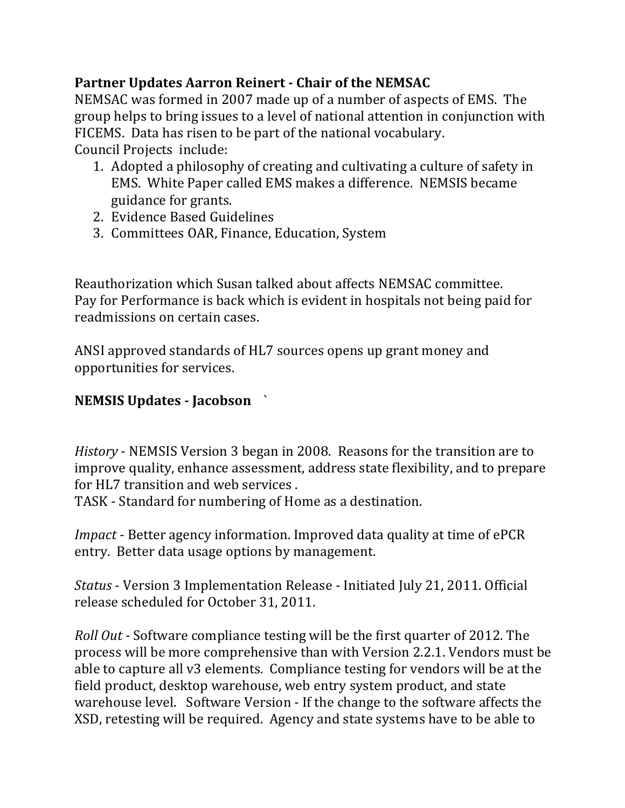# **Partner Updates Aarron Reinert - Chair of the NEMSAC**

NEMSAC was formed in 2007 made up of a number of aspects of EMS. The group helps to bring issues to a level of national attention in conjunction with FICEMS. Data has risen to be part of the national vocabulary. Council Projects include:

- 1. Adopted a philosophy of creating and cultivating a culture of safety in EMS. White Paper called EMS makes a difference. NEMSIS became guidance for grants.
- 2. Evidence Based Guidelines
- 3. Committees OAR, Finance, Education, System

Reauthorization which Susan talked about affects NEMSAC committee. Pay for Performance is back which is evident in hospitals not being paid for readmissions on certain cases.

ANSI approved standards of HL7 sources opens up grant money and opportunities for services.

# **NEMSIS Updates - Jacobson** `

*History* - NEMSIS Version 3 began in 2008. Reasons for the transition are to improve quality, enhance assessment, address state flexibility, and to prepare for HL7 transition and web services.

TASK - Standard for numbering of Home as a destination.

*Impact* - Better agency information. Improved data quality at time of ePCR entry. Better data usage options by management.

*Status* - Version 3 Implementation Release - Initiated July 21, 2011. Official release scheduled for October 31, 2011.

*Roll Out* - Software compliance testing will be the first quarter of 2012. The process will be more comprehensive than with Version 2.2.1. Vendors must be able to capture all v3 elements. Compliance testing for vendors will be at the field product, desktop warehouse, web entry system product, and state warehouse level. Software Version - If the change to the software affects the XSD, retesting will be required. Agency and state systems have to be able to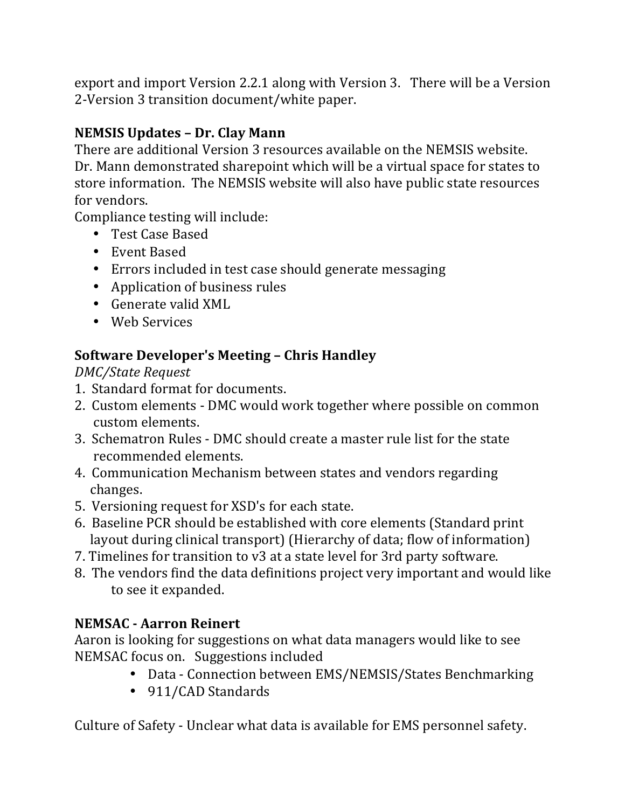export and import Version 2.2.1 along with Version 3. There will be a Version 2-Version 3 transition document/white paper.

# **NEMSIS Updates – Dr. Clay Mann**

There are additional Version 3 resources available on the NEMSIS website. Dr. Mann demonstrated sharepoint which will be a virtual space for states to store information. The NEMSIS website will also have public state resources for vendors.

Compliance testing will include:

- Test Case Based
- Event Based
- Errors included in test case should generate messaging
- Application of business rules
- Generate valid XML
- Web Services

# **Software Developer's Meeting – Chris Handley**

*DMC/State Request*

- 1. Standard format for documents.
- 2. Custom elements DMC would work together where possible on common custom elements.
- 3. Schematron Rules DMC should create a master rule list for the state recommended elements.
- 4. Communication Mechanism between states and vendors regarding changes.
- 5. Versioning request for XSD's for each state.
- 6. Baseline PCR should be established with core elements (Standard print) layout during clinical transport) (Hierarchy of data; flow of information)
- 7. Timelines for transition to v3 at a state level for 3rd party software.
- 8. The vendors find the data definitions project very important and would like to see it expanded.

# **NEMSAC - Aarron Reinert**

Aaron is looking for suggestions on what data managers would like to see NEMSAC focus on. Suggestions included

- Data Connection between EMS/NEMSIS/States Benchmarking
- 911/CAD Standards

Culture of Safety - Unclear what data is available for EMS personnel safety.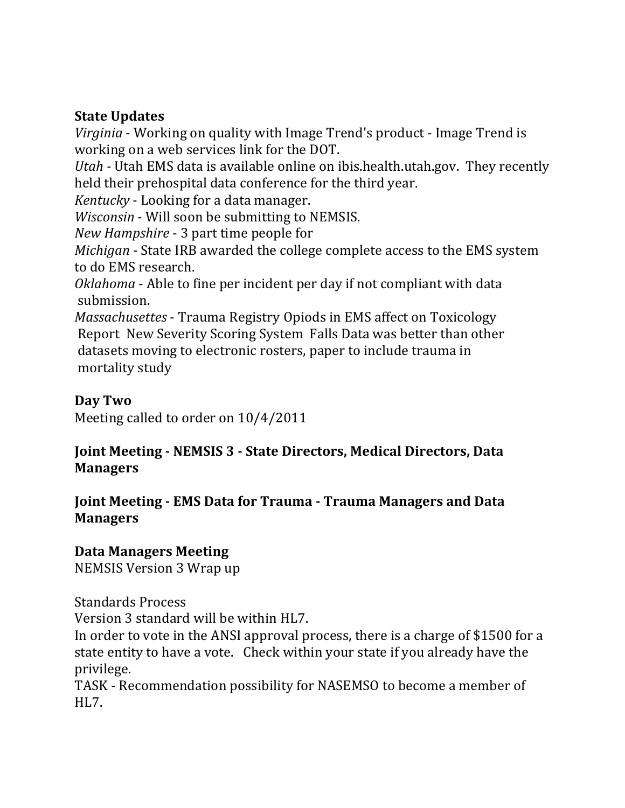### **State Updates**

*Virginia* - Working on quality with Image Trend's product - Image Trend is working on a web services link for the DOT.

*Utah* - Utah EMS data is available online on ibis.health.utah.gov. They recently held their prehospital data conference for the third year.

*Kentucky* - Looking for a data manager.

*Wisconsin* - Will soon be submitting to NEMSIS.

*New Hampshire* - 3 part time people for

*Michigan* - State IRB awarded the college complete access to the EMS system to do EMS research.

*Oklahoma* - Able to fine per incident per day if not compliant with data submission.

*Massachusettes* - Trauma Registry Opiods in EMS affect on Toxicology Report New Severity Scoring System Falls Data was better than other datasets moving to electronic rosters, paper to include trauma in mortality study

### **Day Two**

Meeting called to order on  $10/4/2011$ 

### **Joint Meeting - NEMSIS 3 - State Directors, Medical Directors, Data Managers**

#### **Joint Meeting - EMS Data for Trauma - Trauma Managers and Data Managers**

## **Data Managers Meeting**

NEMSIS Version 3 Wrap up

Standards Process

Version 3 standard will be within HL7.

In order to vote in the ANSI approval process, there is a charge of \$1500 for a state entity to have a vote. Check within your state if you already have the privilege.

TASK - Recommendation possibility for NASEMSO to become a member of HL7.